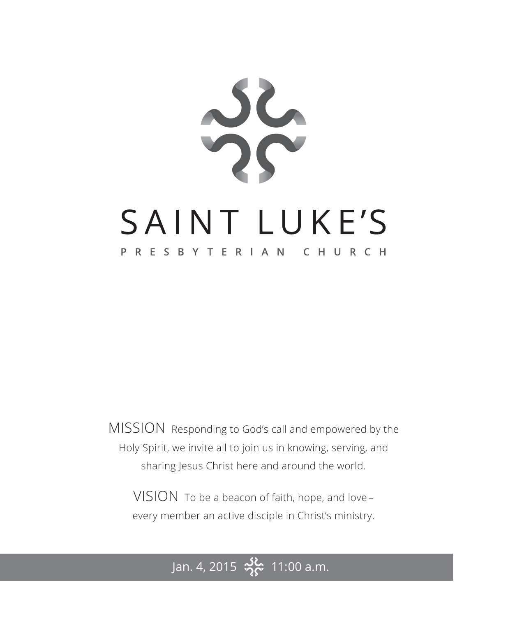

MISSION Responding to God's call and empowered by the Holy Spirit, we invite all to join us in knowing, serving, and sharing Jesus Christ here and around the world.

VISION To be a beacon of faith, hope, and love – every member an active disciple in Christ's ministry.

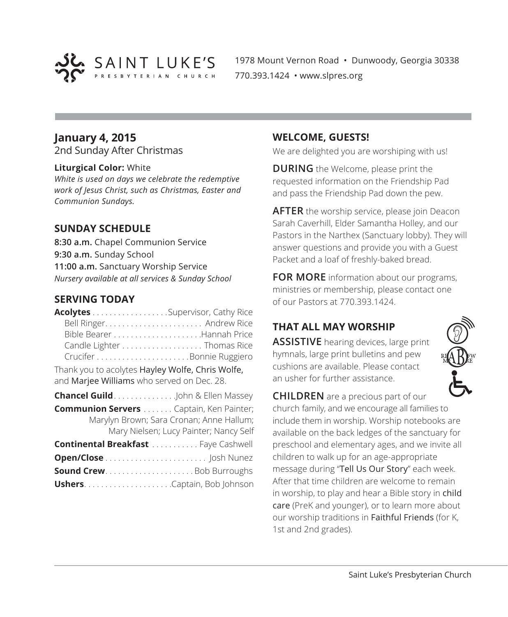

1978 Mount Vernon Road • Dunwoody, Georgia 30338 770.393.1424 • www.slpres.org

# **January 4, 2015**

2nd Sunday After Christmas

#### **Liturgical Color:** White

*White is used on days we celebrate the redemptive work of Jesus Christ, such as Christmas, Easter and Communion Sundays.* 

### **SUNDAY SCHEDULE**

**8:30 a.m.** Chapel Communion Service **9:30 a.m.** Sunday School **11:00 a.m.** Sanctuary Worship Service *Nursery available at all services & Sunday School*

### **SERVING TODAY**

| <b>Acolytes</b> Supervisor, Cathy Rice                                                     |                                        |
|--------------------------------------------------------------------------------------------|----------------------------------------|
|                                                                                            |                                        |
|                                                                                            |                                        |
| Candle Lighter Thomas Rice                                                                 |                                        |
|                                                                                            |                                        |
| Thank you to acolytes Hayley Wolfe, Chris Wolfe,                                           |                                        |
| and Marjee Williams who served on Dec. 28.                                                 |                                        |
| <b>Chancel Guild</b> John & Ellen Massey                                                   |                                        |
| <b>Communion Servers</b> Captain, Ken Painter;<br>Marylyn Brown; Sara Cronan; Anne Hallum; | Mary Nielsen; Lucy Painter; Nancy Self |
| <b>Continental Breakfast </b> Faye Cashwell                                                |                                        |
|                                                                                            |                                        |
|                                                                                            |                                        |
|                                                                                            |                                        |

### **WELCOME, GUESTS!**

We are delighted you are worshiping with us!

**DURING** the Welcome, please print the requested information on the Friendship Pad and pass the Friendship Pad down the pew.

**AFTER** the worship service, please join Deacon Sarah Caverhill, Elder Samantha Holley, and our Pastors in the Narthex (Sanctuary lobby). They will answer questions and provide you with a Guest Packet and a loaf of freshly-baked bread.

**FOR MORE** information about our programs, ministries or membership, please contact one of our Pastors at 770.393.1424.

# **THAT ALL MAY WORSHIP**

**ASSISTIVE** hearing devices, large print hymnals, large print bulletins and pew cushions are available. Please contact an usher for further assistance.



**CHILDREN** are a precious part of our church family, and we encourage all families to include them in worship. Worship notebooks are available on the back ledges of the sanctuary for preschool and elementary ages, and we invite all children to walk up for an age-appropriate message during "Tell Us Our Story" each week. After that time children are welcome to remain in worship, to play and hear a Bible story in child care (PreK and younger), or to learn more about our worship traditions in Faithful Friends (for K, 1st and 2nd grades).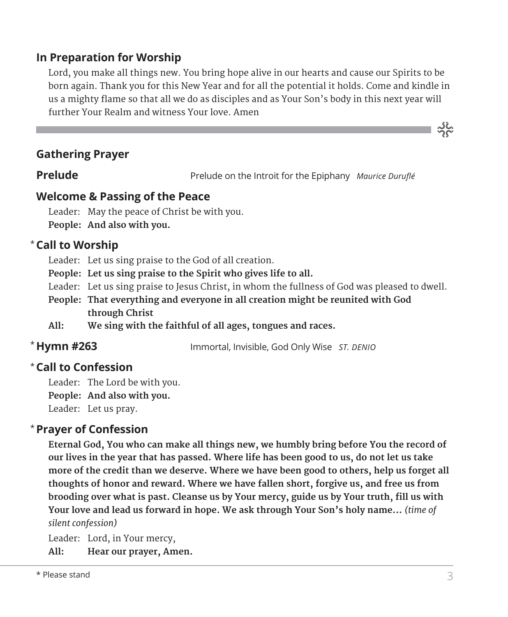# **In Preparation for Worship**

 Lord, you make all things new. You bring hope alive in our hearts and cause our Spirits to be born again. Thank you for this New Year and for all the potential it holds. Come and kindle in us a mighty flame so that all we do as disciples and as Your Son's body in this next year will further Your Realm and witness Your love. Amen

### **Gathering Prayer**

**Prelude** Prelude on the Introit for the Epiphany *Maurice Duruflé* 

### **Welcome & Passing of the Peace**

Leader: May the peace of Christ be with you. **People: And also with you.**

# **Call to Worship** \*

Leader: Let us sing praise to the God of all creation.

- **People: Let us sing praise to the Spirit who gives life to all.**
- Leader: Let us sing praise to Jesus Christ, in whom the fullness of God was pleased to dwell.
- **People: That everything and everyone in all creation might be reunited with God through Christ**
- **All: We sing with the faithful of all ages, tongues and races.**

# \* Hymn #263

**Hymn #263** Immortal, Invisible, God Only Wise *ST. DENIO*

# **Call to Confession**  \*

Leader: The Lord be with you.

**People: And also with you.**

Leader: Let us pray.

### **Prayer of Confession**  \*

 **Eternal God, You who can make all things new, we humbly bring before You the record of our lives in the year that has passed. Where life has been good to us, do not let us take more of the credit than we deserve. Where we have been good to others, help us forget all thoughts of honor and reward. Where we have fallen short, forgive us, and free us from brooding over what is past. Cleanse us by Your mercy, guide us by Your truth, fill us with Your love and lead us forward in hope. We ask through Your Son's holy name...** *(time of silent confession)*

Leader: Lord, in Your mercy,

**All: Hear our prayer, Amen.**

သိုင်္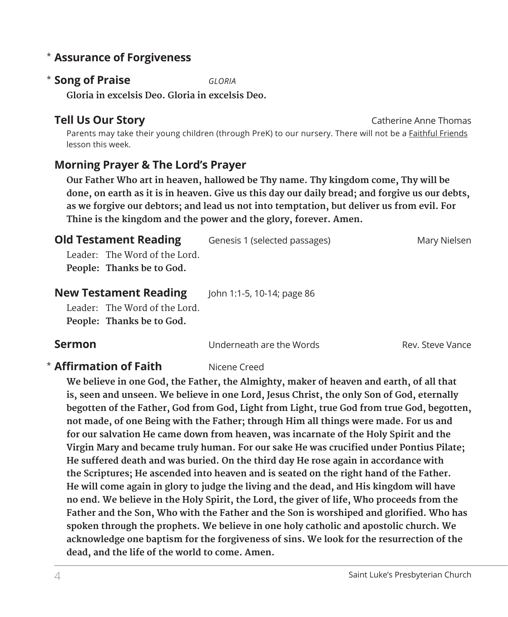# **Assurance of Forgiveness** \*

### **Song of Praise** *GLORIA* \*

**Gloria in excelsis Deo. Gloria in excelsis Deo.**

# **Tell Us Our Story Catherine Anne Thomas**

 Parents may take their young children (through PreK) to our nursery. There will not be a Faithful Friends lesson this week.

# **Morning Prayer & The Lord's Prayer**

 **Our Father Who art in heaven, hallowed be Thy name. Thy kingdom come, Thy will be done, on earth as it is in heaven. Give us this day our daily bread; and forgive us our debts, as we forgive our debtors; and lead us not into temptation, but deliver us from evil. For Thine is the kingdom and the power and the glory, forever. Amen.**

| <b>Old Testament Reading</b>                   | Genesis 1 (selected passages) | Mary Nielsen |
|------------------------------------------------|-------------------------------|--------------|
| Leader: The Word of the Lord.                  |                               |              |
| People: Thanks be to God.                      |                               |              |
| Marcell The other are a real Display of the co |                               |              |

| <b>New Testament Reading</b> |                               | John 1:1-5, 10-14; page 86 |
|------------------------------|-------------------------------|----------------------------|
|                              | Leader: The Word of the Lord. |                            |

**People: Thanks be to God.**

**Sermon Example 20** Underneath are the Words Rev. Steve Vance

# **\* Affirmation of Faith** Nicene Creed

 **We believe in one God, the Father, the Almighty, maker of heaven and earth, of all that is, seen and unseen. We believe in one Lord, Jesus Christ, the only Son of God, eternally begotten of the Father, God from God, Light from Light, true God from true God, begotten, not made, of one Being with the Father; through Him all things were made. For us and for our salvation He came down from heaven, was incarnate of the Holy Spirit and the Virgin Mary and became truly human. For our sake He was crucified under Pontius Pilate; He suffered death and was buried. On the third day He rose again in accordance with the Scriptures; He ascended into heaven and is seated on the right hand of the Father. He will come again in glory to judge the living and the dead, and His kingdom will have no end. We believe in the Holy Spirit, the Lord, the giver of life, Who proceeds from the Father and the Son, Who with the Father and the Son is worshiped and glorified. Who has spoken through the prophets. We believe in one holy catholic and apostolic church. We acknowledge one baptism for the forgiveness of sins. We look for the resurrection of the dead, and the life of the world to come. Amen.**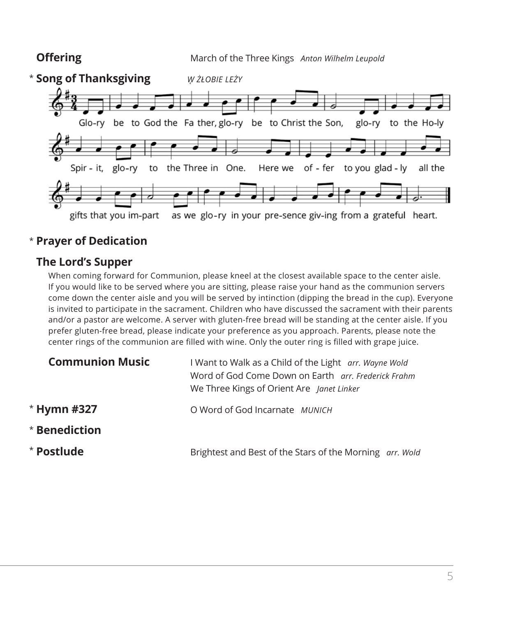

# \* **Prayer of Dedication**

# **The Lord's Supper**

 When coming forward for Communion, please kneel at the closest available space to the center aisle. If you would like to be served where you are sitting, please raise your hand as the communion servers come down the center aisle and you will be served by intinction (dipping the bread in the cup). Everyone is invited to participate in the sacrament. Children who have discussed the sacrament with their parents and/or a pastor are welcome. A server with gluten-free bread will be standing at the center aisle. If you prefer gluten-free bread, please indicate your preference as you approach. Parents, please note the center rings of the communion are filled with wine. Only the outer ring is filled with grape juice.

| <b>Communion Music</b> | I Want to Walk as a Child of the Light arr. Wayne Wold<br>Word of God Come Down on Earth arr. Frederick Frahm<br>We Three Kings of Orient Are Janet Linker |  |
|------------------------|------------------------------------------------------------------------------------------------------------------------------------------------------------|--|
| * Hymn #327            | O Word of God Incarnate MUNICH                                                                                                                             |  |
| $^{\star}$ Benediction |                                                                                                                                                            |  |
| * Postlude             | Brightest and Best of the Stars of the Morning arr. Wold                                                                                                   |  |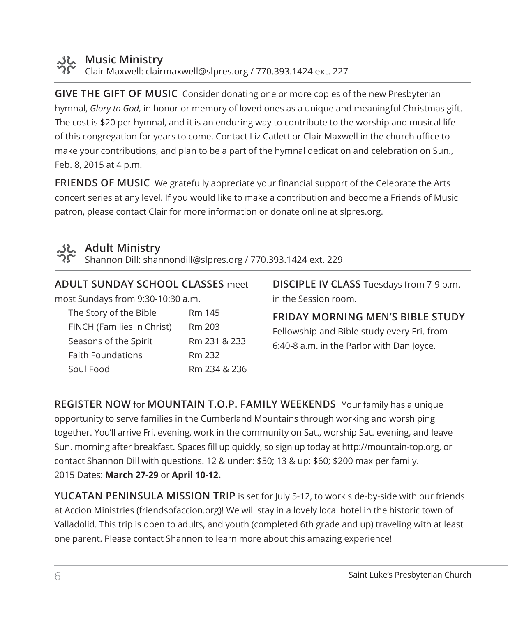

### **Music Ministry**

Clair Maxwell: clairmaxwell@slpres.org / 770.393.1424 ext. 227

**GIVE THE GIFT OF MUSIC** Consider donating one or more copies of the new Presbyterian hymnal, *Glory to God,* in honor or memory of loved ones as a unique and meaningful Christmas gift. The cost is \$20 per hymnal, and it is an enduring way to contribute to the worship and musical life of this congregation for years to come. Contact Liz Catlett or Clair Maxwell in the church office to make your contributions, and plan to be a part of the hymnal dedication and celebration on Sun., Feb. 8, 2015 at 4 p.m.

**FRIENDS OF MUSIC** We gratefully appreciate your financial support of the Celebrate the Arts concert series at any level. If you would like to make a contribution and become a Friends of Music patron, please contact Clair for more information or donate online at slpres.org.



# **Adult Ministry**

Shannon Dill: shannondill@slpres.org / 770.393.1424 ext. 229

| <b>ADULT SUNDAY SCHOOL CLASSES meet</b> |              |
|-----------------------------------------|--------------|
| most Sundays from 9:30-10:30 a.m.       |              |
| The Story of the Bible                  | Rm 145       |
| FINCH (Families in Christ)              | Rm 203       |
| Seasons of the Spirit                   | Rm 231 & 233 |
| <b>Faith Foundations</b>                | Rm 232       |
| Soul Food                               | Rm 234 & 236 |

**DISCIPLE IV CLASS** Tuesdays from 7-9 p.m. in the Session room.

**FRIDAY MORNING MEN'S BIBLE STUDY**  Fellowship and Bible study every Fri. from 6:40-8 a.m. in the Parlor with Dan Joyce.

**REGISTER NOW** for **MOUNTAIN T.O.P. FAMILY WEEKENDS** Your family has a unique opportunity to serve families in the Cumberland Mountains through working and worshiping together. You'll arrive Fri. evening, work in the community on Sat., worship Sat. evening, and leave Sun. morning after breakfast. Spaces fill up quickly, so sign up today at http://mountain-top.org, or contact Shannon Dill with questions. 12 & under: \$50; 13 & up: \$60; \$200 max per family. 2015 Dates: **March 27-29** or **April 10-12.**

**YUCATAN PENINSULA MISSION TRIP** is set for July 5-12, to work side-by-side with our friends at Accion Ministries (friendsofaccion.org)! We will stay in a lovely local hotel in the historic town of Valladolid. This trip is open to adults, and youth (completed 6th grade and up) traveling with at least one parent. Please contact Shannon to learn more about this amazing experience!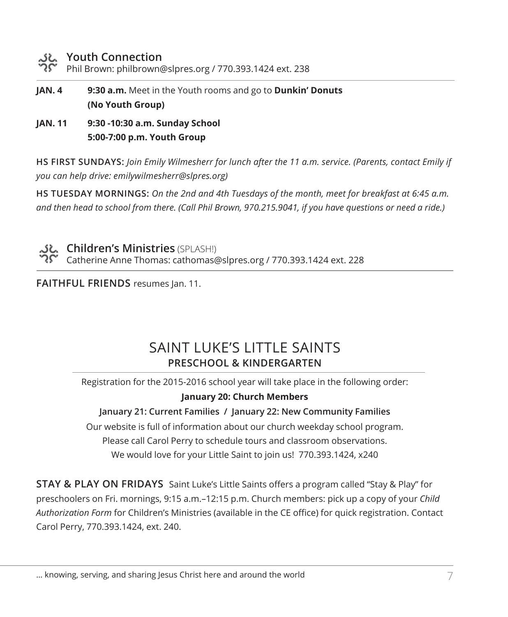### **Youth Connection**

Phil Brown: philbrown@slpres.org / 770.393.1424 ext. 238

- **JAN. 4 9:30 a.m.** Meet in the Youth rooms and go to **Dunkin' Donuts (No Youth Group)**
- **JAN. 11 9:30 -10:30 a.m. Sunday School 5:00-7:00 p.m. Youth Group**

**HS FIRST SUNDAYS:** *Join Emily Wilmesherr for lunch after the 11 a.m. service. (Parents, contact Emily if you can help drive: emilywilmesherr@slpres.org)*

**HS TUESDAY MORNINGS:** *On the 2nd and 4th Tuesdays of the month, meet for breakfast at 6:45 a.m. and then head to school from there. (Call Phil Brown, 970.215.9041, if you have questions or need a ride.)*



**Children's Ministries** (SPLASH!) Catherine Anne Thomas: cathomas@slpres.org / 770.393.1424 ext. 228

**FAITHFUL FRIENDS** resumes Jan. 11.

# SAINT LUKE'S LITTLE SAINTS **PRESCHOOL & KINDERGARTEN**

Registration for the 2015-2016 school year will take place in the following order:

### **January 20: Church Members**

**January 21: Current Families / January 22: New Community Families**

Our website is full of information about our church weekday school program. Please call Carol Perry to schedule tours and classroom observations. We would love for your Little Saint to join us! 770.393.1424, x240

**STAY & PLAY ON FRIDAYS** Saint Luke's Little Saints offers a program called "Stay & Play" for preschoolers on Fri. mornings, 9:15 a.m.–12:15 p.m. Church members: pick up a copy of your *Child Authorization Form* for Children's Ministries (available in the CE office) for quick registration. Contact Carol Perry, 770.393.1424, ext. 240.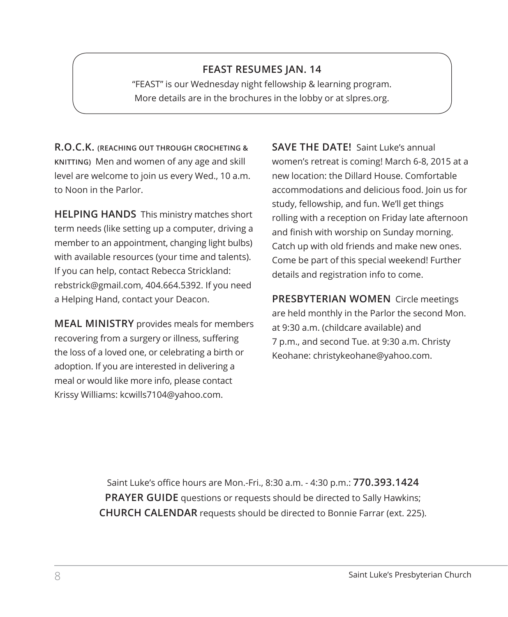### **FEAST RESUMES JAN. 14**

"FEAST" is our Wednesday night fellowship & learning program. More details are in the brochures in the lobby or at slpres.org.

**R.O.C.K. (REACHING OUT THROUGH CROCHETING & KNITTING)** Men and women of any age and skill level are welcome to join us every Wed., 10 a.m. to Noon in the Parlor.

**HELPING HANDS** This ministry matches short term needs (like setting up a computer, driving a member to an appointment, changing light bulbs) with available resources (your time and talents). If you can help, contact Rebecca Strickland: rebstrick@gmail.com, 404.664.5392. If you need a Helping Hand, contact your Deacon.

**MEAL MINISTRY** provides meals for members recovering from a surgery or illness, suffering the loss of a loved one, or celebrating a birth or adoption. If you are interested in delivering a meal or would like more info, please contact Krissy Williams: kcwills7104@yahoo.com.

**SAVE THE DATE!** Saint Luke's annual women's retreat is coming! March 6-8, 2015 at a new location: the Dillard House. Comfortable accommodations and delicious food. Join us for study, fellowship, and fun. We'll get things rolling with a reception on Friday late afternoon and finish with worship on Sunday morning. Catch up with old friends and make new ones. Come be part of this special weekend! Further details and registration info to come.

**PRESBYTERIAN WOMEN** Circle meetings are held monthly in the Parlor the second Mon. at 9:30 a.m. (childcare available) and 7 p.m., and second Tue. at 9:30 a.m. Christy Keohane: christykeohane@yahoo.com.

Saint Luke's office hours are Mon.-Fri., 8:30 a.m. - 4:30 p.m.: **770.393.1424 PRAYER GUIDE** questions or requests should be directed to Sally Hawkins; **CHURCH CALENDAR** requests should be directed to Bonnie Farrar (ext. 225).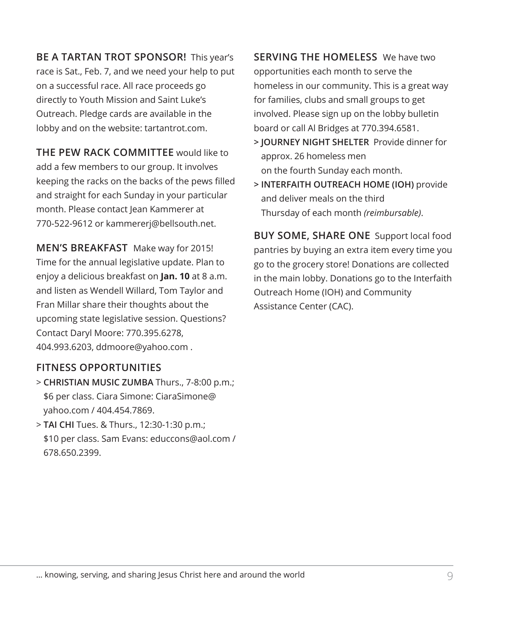**BE A TARTAN TROT SPONSOR!** This year's race is Sat., Feb. 7, and we need your help to put on a successful race. All race proceeds go directly to Youth Mission and Saint Luke's Outreach. Pledge cards are available in the lobby and on the website: tartantrot.com.

**THE PEW RACK COMMITTEE** would like to add a few members to our group. It involves keeping the racks on the backs of the pews filled and straight for each Sunday in your particular month. Please contact Jean Kammerer at 770-522-9612 or kammererj@bellsouth.net.

**MEN'S BREAKFAST** Make way for 2015! Time for the annual legislative update. Plan to enjoy a delicious breakfast on **Jan. 10** at 8 a.m. and listen as Wendell Willard, Tom Taylor and Fran Millar share their thoughts about the upcoming state legislative session. Questions? Contact Daryl Moore: 770.395.6278, 404.993.6203, ddmoore@yahoo.com .

### **FITNESS OPPORTUNITIES**

- > **CHRISTIAN MUSIC ZUMBA** Thurs., 7-8:00 p.m.; \$6 per class. Ciara Simone: CiaraSimone@ yahoo.com / 404.454.7869.
- > **TAI CHI** Tues. & Thurs., 12:30-1:30 p.m.; \$10 per class. Sam Evans: educcons@aol.com / 678.650.2399.

**SERVING THE HOMELESS** We have two opportunities each month to serve the homeless in our community. This is a great way for families, clubs and small groups to get involved. Please sign up on the lobby bulletin board or call Al Bridges at 770.394.6581.

- **> JOURNEY NIGHT SHELTER** Provide dinner for approx. 26 homeless men on the fourth Sunday each month.
- **> INTERFAITH OUTREACH HOME (IOH)** provide and deliver meals on the third Thursday of each month *(reimbursable)*.

**BUY SOME, SHARE ONE** Support local food pantries by buying an extra item every time you go to the grocery store! Donations are collected in the main lobby. Donations go to the Interfaith Outreach Home (IOH) and Community Assistance Center (CAC).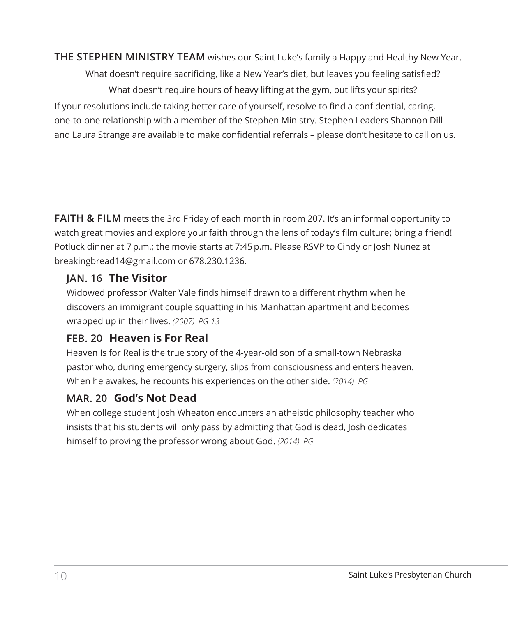**THE STEPHEN MINISTRY TEAM** wishes our Saint Luke's family a Happy and Healthy New Year.

What doesn't require sacrificing, like a New Year's diet, but leaves you feeling satisfied? What doesn't require hours of heavy lifting at the gym, but lifts your spirits? If your resolutions include taking better care of yourself, resolve to find a confidential, caring, one-to-one relationship with a member of the Stephen Ministry. Stephen Leaders Shannon Dill and Laura Strange are available to make confidential referrals – please don't hesitate to call on us.

**FAITH & FILM** meets the 3rd Friday of each month in room 207. It's an informal opportunity to watch great movies and explore your faith through the lens of today's film culture; bring a friend! Potluck dinner at 7 p.m.; the movie starts at 7:45 p.m. Please RSVP to Cindy or Josh Nunez at breakingbread14@gmail.com or 678.230.1236.

# **JAN. 16 The Visitor**

Widowed professor Walter Vale finds himself drawn to a different rhythm when he discovers an immigrant couple squatting in his Manhattan apartment and becomes wrapped up in their lives. *(2007) PG-13*

# **FEB. 20 Heaven is For Real**

 Heaven Is for Real is the true story of the 4-year-old son of a small-town Nebraska pastor who, during emergency surgery, slips from consciousness and enters heaven. When he awakes, he recounts his experiences on the other side. *(2014) PG*

# **MAR. 20 God's Not Dead**

 When college student Josh Wheaton encounters an atheistic philosophy teacher who insists that his students will only pass by admitting that God is dead, Josh dedicates himself to proving the professor wrong about God. *(2014) PG*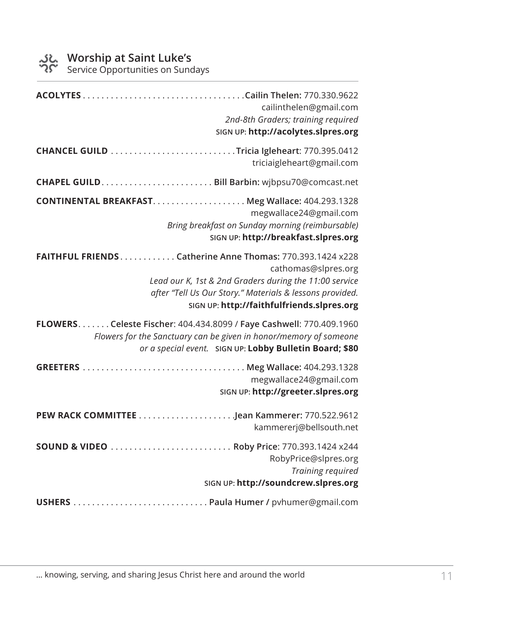Service Opportunities on Sundays

| cailinthelen@gmail.com<br>2nd-8th Graders; training required<br>SIGN UP: http://acolytes.slpres.org                                                                                                                                                  |
|------------------------------------------------------------------------------------------------------------------------------------------------------------------------------------------------------------------------------------------------------|
| triciaigleheart@gmail.com                                                                                                                                                                                                                            |
|                                                                                                                                                                                                                                                      |
| megwallace24@gmail.com<br>Bring breakfast on Sunday morning (reimbursable)<br>SIGN UP: http://breakfast.slpres.org                                                                                                                                   |
| FAITHFUL FRIENDS Catherine Anne Thomas: 770.393.1424 x228<br>cathomas@slpres.org<br>Lead our K, 1st & 2nd Graders during the 11:00 service<br>after "Tell Us Our Story." Materials & lessons provided.<br>SIGN UP: http://faithfulfriends.slpres.org |
| FLOWERS. Celeste Fischer: 404.434.8099 / Faye Cashwell: 770.409.1960<br>Flowers for the Sanctuary can be given in honor/memory of someone<br>or a special event. SIGN UP: Lobby Bulletin Board; \$80                                                 |
| megwallace24@gmail.com<br>SIGN UP: http://greeter.slpres.org                                                                                                                                                                                         |
| kammererj@bellsouth.net                                                                                                                                                                                                                              |
| RobyPrice@slpres.org<br>Training required<br>SIGN UP: http://soundcrew.slpres.org                                                                                                                                                                    |
|                                                                                                                                                                                                                                                      |